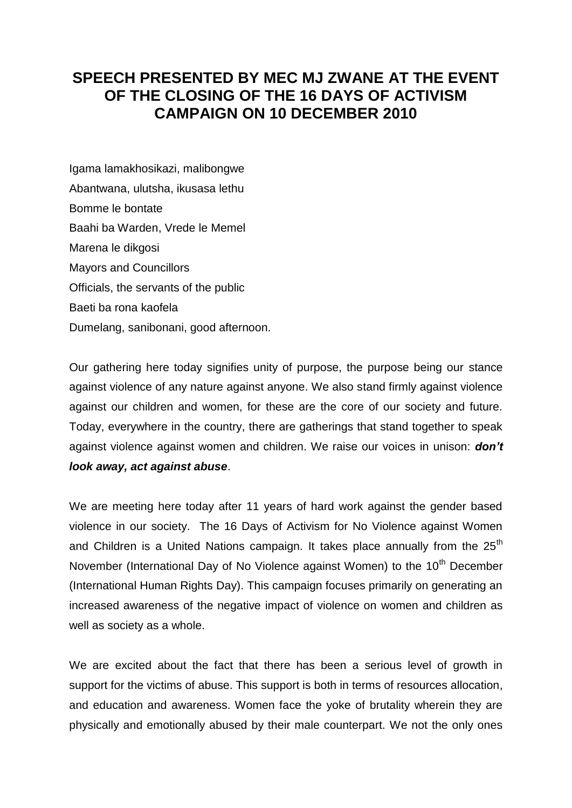## **SPEECH PRESENTED BY MEC MJ ZWANE AT THE EVENT OF THE CLOSING OF THE 16 DAYS OF ACTIVISM CAMPAIGN ON 10 DECEMBER 2010**

Igama lamakhosikazi, malibongwe Abantwana, ulutsha, ikusasa lethu Bomme le bontate Baahi ba Warden, Vrede le Memel Marena le dikgosi Mayors and Councillors Officials, the servants of the public Baeti ba rona kaofela Dumelang, sanibonani, good afternoon.

Our gathering here today signifies unity of purpose, the purpose being our stance against violence of any nature against anyone. We also stand firmly against violence against our children and women, for these are the core of our society and future. Today, everywhere in the country, there are gatherings that stand together to speak against violence against women and children. We raise our voices in unison: *don't look away, act against abuse*.

We are meeting here today after 11 years of hard work against the gender based violence in our society. The 16 Days of Activism for No Violence against Women and Children is a United Nations campaign. It takes place annually from the 25<sup>th</sup> November (International Day of No Violence against Women) to the 10<sup>th</sup> December (International Human Rights Day). This campaign focuses primarily on generating an increased awareness of the negative impact of violence on women and children as well as society as a whole.

We are excited about the fact that there has been a serious level of growth in support for the victims of abuse. This support is both in terms of resources allocation, and education and awareness. Women face the yoke of brutality wherein they are physically and emotionally abused by their male counterpart. We not the only ones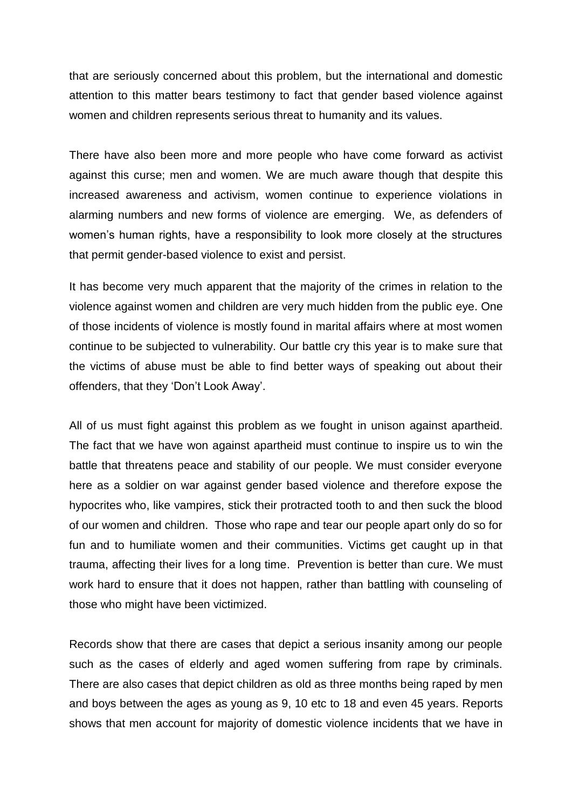that are seriously concerned about this problem, but the international and domestic attention to this matter bears testimony to fact that gender based violence against women and children represents serious threat to humanity and its values.

There have also been more and more people who have come forward as activist against this curse; men and women. We are much aware though that despite this increased awareness and activism, women continue to experience violations in alarming numbers and new forms of violence are emerging. We, as defenders of women's human rights, have a responsibility to look more closely at the structures that permit gender-based violence to exist and persist.

It has become very much apparent that the majority of the crimes in relation to the violence against women and children are very much hidden from the public eye. One of those incidents of violence is mostly found in marital affairs where at most women continue to be subjected to vulnerability. Our battle cry this year is to make sure that the victims of abuse must be able to find better ways of speaking out about their offenders, that they 'Don't Look Away'.

All of us must fight against this problem as we fought in unison against apartheid. The fact that we have won against apartheid must continue to inspire us to win the battle that threatens peace and stability of our people. We must consider everyone here as a soldier on war against gender based violence and therefore expose the hypocrites who, like vampires, stick their protracted tooth to and then suck the blood of our women and children. Those who rape and tear our people apart only do so for fun and to humiliate women and their communities. Victims get caught up in that trauma, affecting their lives for a long time. Prevention is better than cure. We must work hard to ensure that it does not happen, rather than battling with counseling of those who might have been victimized.

Records show that there are cases that depict a serious insanity among our people such as the cases of elderly and aged women suffering from rape by criminals. There are also cases that depict children as old as three months being raped by men and boys between the ages as young as 9, 10 etc to 18 and even 45 years. Reports shows that men account for majority of domestic violence incidents that we have in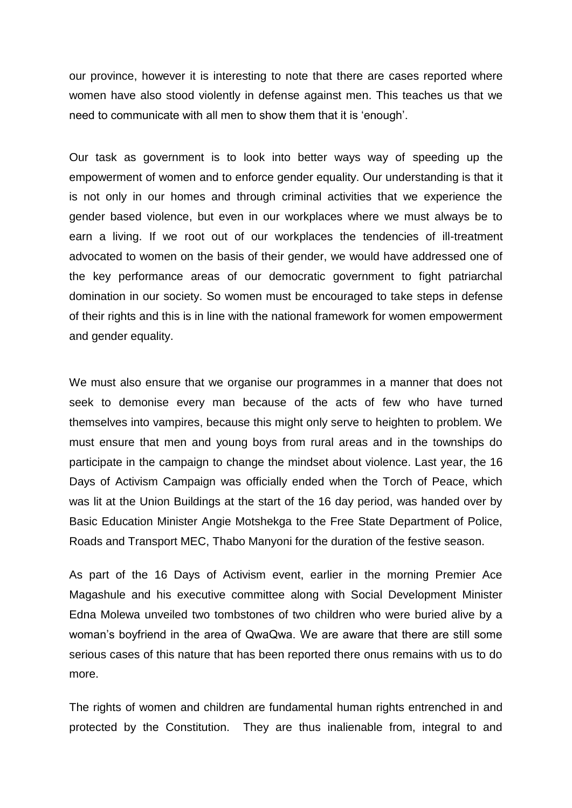our province, however it is interesting to note that there are cases reported where women have also stood violently in defense against men. This teaches us that we need to communicate with all men to show them that it is 'enough'.

Our task as government is to look into better ways way of speeding up the empowerment of women and to enforce gender equality. Our understanding is that it is not only in our homes and through criminal activities that we experience the gender based violence, but even in our workplaces where we must always be to earn a living. If we root out of our workplaces the tendencies of ill-treatment advocated to women on the basis of their gender, we would have addressed one of the key performance areas of our democratic government to fight patriarchal domination in our society. So women must be encouraged to take steps in defense of their rights and this is in line with the national framework for women empowerment and gender equality.

We must also ensure that we organise our programmes in a manner that does not seek to demonise every man because of the acts of few who have turned themselves into vampires, because this might only serve to heighten to problem. We must ensure that men and young boys from rural areas and in the townships do participate in the campaign to change the mindset about violence. Last year, the 16 Days of Activism Campaign was officially ended when the Torch of Peace, which was lit at the Union Buildings at the start of the 16 day period, was handed over by Basic Education Minister Angie Motshekga to the Free State Department of Police, Roads and Transport MEC, Thabo Manyoni for the duration of the festive season.

As part of the 16 Days of Activism event, earlier in the morning Premier Ace Magashule and his executive committee along with Social Development Minister Edna Molewa unveiled two tombstones of two children who were buried alive by a woman's boyfriend in the area of QwaQwa. We are aware that there are still some serious cases of this nature that has been reported there onus remains with us to do more.

The rights of women and children are fundamental human rights entrenched in and protected by the Constitution. They are thus inalienable from, integral to and